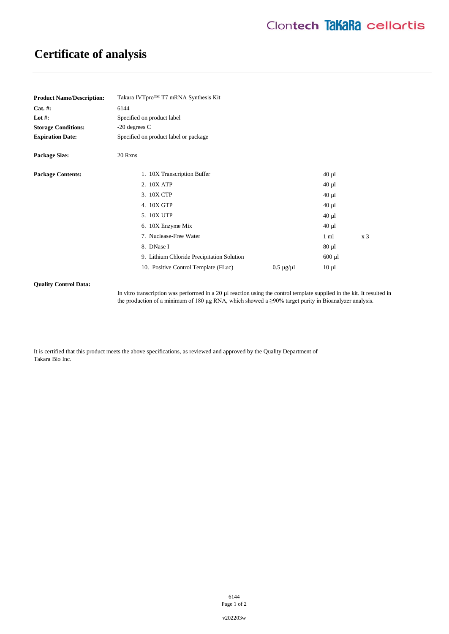# **Certificate of analysis**

| <b>Product Name/Description:</b> | Takara IVTpro <sup>™</sup> T7 mRNA Synthesis Kit |                      |                |                |
|----------------------------------|--------------------------------------------------|----------------------|----------------|----------------|
| $Cat. \#:$                       | 6144                                             |                      |                |                |
| Lot #:                           | Specified on product label                       |                      |                |                |
| <b>Storage Conditions:</b>       | $-20$ degrees C                                  |                      |                |                |
| <b>Expiration Date:</b>          | Specified on product label or package            |                      |                |                |
| <b>Package Size:</b>             | 20 Rxns                                          |                      |                |                |
| <b>Package Contents:</b>         | 1. 10X Transcription Buffer                      |                      | $40 \mu$ l     |                |
|                                  | 2. 10X ATP                                       |                      | $40 \mu$ l     |                |
|                                  | 3. 10X CTP                                       |                      | $40 \mu$ l     |                |
|                                  | 4. 10X GTP                                       |                      | $40 \mu$ l     |                |
|                                  | 5. 10X UTP                                       |                      | $40 \mu$ l     |                |
|                                  | 6. 10X Enzyme Mix                                |                      | $40 \mu$ l     |                |
|                                  | 7. Nuclease-Free Water                           |                      | $1 \text{ ml}$ | x <sub>3</sub> |
|                                  | 8. DNase I                                       |                      | $80 \mu 1$     |                |
|                                  | 9. Lithium Chloride Precipitation Solution       |                      | $600 \mu l$    |                |
|                                  | 10. Positive Control Template (FLuc)             | $0.5 \mu$ g/ $\mu$ l | $10 \mu$ 1     |                |
|                                  |                                                  |                      |                |                |

## **Quality Control Data:**

In vitro transcription was performed in a 20 µl reaction using the control template supplied in the kit. It resulted in the production of a minimum of 180 µg RNA, which showed a  $\geq$ 90% target purity in Bioanalyzer analysis.

It is certified that this product meets the above specifications, as reviewed and approved by the Quality Department of Takara Bio Inc.

> 6144 Page 1 of 2

v202203w